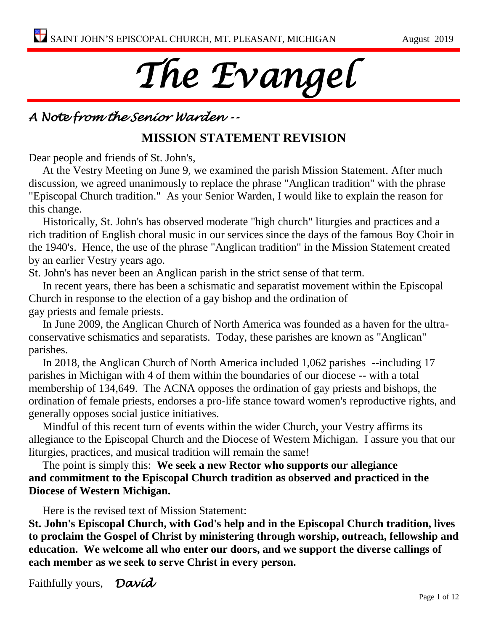# *The Evangel*

# *A Note from the Senior Warden --*

# **MISSION STATEMENT REVISION**

Dear people and friends of St. John's,

At the Vestry Meeting on June 9, we examined the parish Mission Statement. After much discussion, we agreed unanimously to replace the phrase "Anglican tradition" with the phrase "Episcopal Church tradition." As your Senior Warden, I would like to explain the reason for this change.

Historically, St. John's has observed moderate "high church" liturgies and practices and a rich tradition of English choral music in our services since the days of the famous Boy Choir in the 1940's. Hence, the use of the phrase "Anglican tradition" in the Mission Statement created by an earlier Vestry years ago.

St. John's has never been an Anglican parish in the strict sense of that term.

In recent years, there has been a schismatic and separatist movement within the Episcopal Church in response to the election of a gay bishop and the ordination of gay priests and female priests.

In June 2009, the Anglican Church of North America was founded as a haven for the ultraconservative schismatics and separatists. Today, these parishes are known as "Anglican" parishes.

In 2018, the Anglican Church of North America included 1,062 parishes --including 17 parishes in Michigan with 4 of them within the boundaries of our diocese -- with a total membership of 134,649. The ACNA opposes the ordination of gay priests and bishops, the ordination of female priests, endorses a pro-life stance toward women's reproductive rights, and generally opposes social justice initiatives.

Mindful of this recent turn of events within the wider Church, your Vestry affirms its allegiance to the Episcopal Church and the Diocese of Western Michigan. I assure you that our liturgies, practices, and musical tradition will remain the same!

The point is simply this: **We seek a new Rector who supports our allegiance and commitment to the Episcopal Church tradition as observed and practiced in the Diocese of Western Michigan.**

Here is the revised text of Mission Statement:

**St. John's Episcopal Church, with God's help and in the Episcopal Church tradition, lives to proclaim the Gospel of Christ by ministering through worship, outreach, fellowship and education. We welcome all who enter our doors, and we support the diverse callings of each member as we seek to serve Christ in every person.**

Faithfully yours, *David*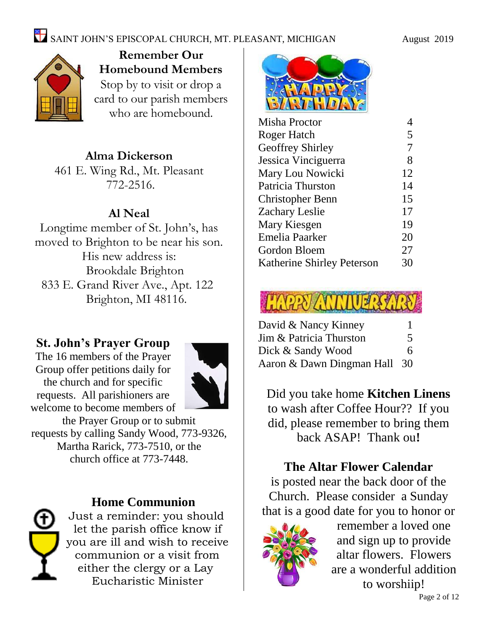

**Remember Our Homebound Members** Stop by to visit or drop a card to our parish members who are homebound.

# **Alma Dickerson**

461 E. Wing Rd., Mt. Pleasant 772-2516.

# **Al Neal**

Longtime member of St. John's, has moved to Brighton to be near his son. His new address is: Brookdale Brighton 833 E. Grand River Ave., Apt. 122 Brighton, MI 48116.

# **St. John's Prayer Group**

The 16 members of the Prayer Group offer petitions daily for the church and for specific requests. All parishioners are welcome to become members of



the Prayer Group or to submit requests by calling Sandy Wood, 773-9326, Martha Rarick, 773-7510, or the church office at 773-7448.



# **Home Communion**

Just a reminder: you should let the parish office know if you are ill and wish to receive communion or a visit from either the clergy or a Lay Eucharistic Minister



| Misha Proctor              |    |
|----------------------------|----|
| Roger Hatch                | 5  |
| <b>Geoffrey Shirley</b>    | 7  |
| Jessica Vinciguerra        | 8  |
| Mary Lou Nowicki           | 12 |
| Patricia Thurston          | 14 |
| Christopher Benn           | 15 |
| Zachary Leslie             | 17 |
| Mary Kiesgen               | 19 |
| Emelia Paarker             | 20 |
| Gordon Bloem               | 27 |
| Katherine Shirley Peterson | 30 |
|                            |    |

# **HARPY ANNIUERS**

| David & Nancy Kinney         |   |
|------------------------------|---|
| Jim & Patricia Thurston      | 5 |
| Dick & Sandy Wood            | 6 |
| Aaron & Dawn Dingman Hall 30 |   |

Did you take home **Kitchen Linens** to wash after Coffee Hour?? If you did, please remember to bring them back ASAP! Thank ou**!**

# **The Altar Flower Calendar**

is posted near the back door of the Church. Please consider a Sunday that is a good date for you to honor or



remember a loved one and sign up to provide altar flowers. Flowers are a wonderful addition to worshiip!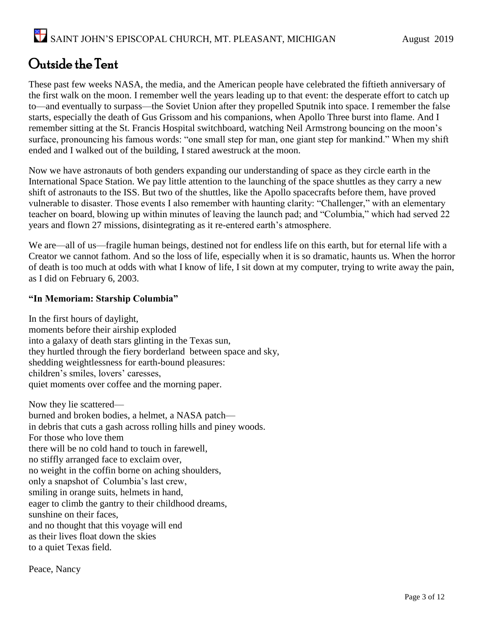# Outside the Tent

These past few weeks NASA, the media, and the American people have celebrated the fiftieth anniversary of the first walk on the moon. I remember well the years leading up to that event: the desperate effort to catch up to—and eventually to surpass—the Soviet Union after they propelled Sputnik into space. I remember the false starts, especially the death of Gus Grissom and his companions, when Apollo Three burst into flame. And I remember sitting at the St. Francis Hospital switchboard, watching Neil Armstrong bouncing on the moon's surface, pronouncing his famous words: "one small step for man, one giant step for mankind." When my shift ended and I walked out of the building, I stared awestruck at the moon.

Now we have astronauts of both genders expanding our understanding of space as they circle earth in the International Space Station. We pay little attention to the launching of the space shuttles as they carry a new shift of astronauts to the ISS. But two of the shuttles, like the Apollo spacecrafts before them, have proved vulnerable to disaster. Those events I also remember with haunting clarity: "Challenger," with an elementary teacher on board, blowing up within minutes of leaving the launch pad; and "Columbia," which had served 22 years and flown 27 missions, disintegrating as it re-entered earth's atmosphere.

We are—all of us—fragile human beings, destined not for endless life on this earth, but for eternal life with a Creator we cannot fathom. And so the loss of life, especially when it is so dramatic, haunts us. When the horror of death is too much at odds with what I know of life, I sit down at my computer, trying to write away the pain, as I did on February 6, 2003.

#### **"In Memoriam: Starship Columbia"**

In the first hours of daylight, moments before their airship exploded into a galaxy of death stars glinting in the Texas sun, they hurtled through the fiery borderland between space and sky, shedding weightlessness for earth-bound pleasures: children's smiles, lovers' caresses, quiet moments over coffee and the morning paper.

Now they lie scattered burned and broken bodies, a helmet, a NASA patch in debris that cuts a gash across rolling hills and piney woods. For those who love them there will be no cold hand to touch in farewell, no stiffly arranged face to exclaim over, no weight in the coffin borne on aching shoulders, only a snapshot of Columbia's last crew, smiling in orange suits, helmets in hand, eager to climb the gantry to their childhood dreams, sunshine on their faces, and no thought that this voyage will end as their lives float down the skies to a quiet Texas field.

Peace, Nancy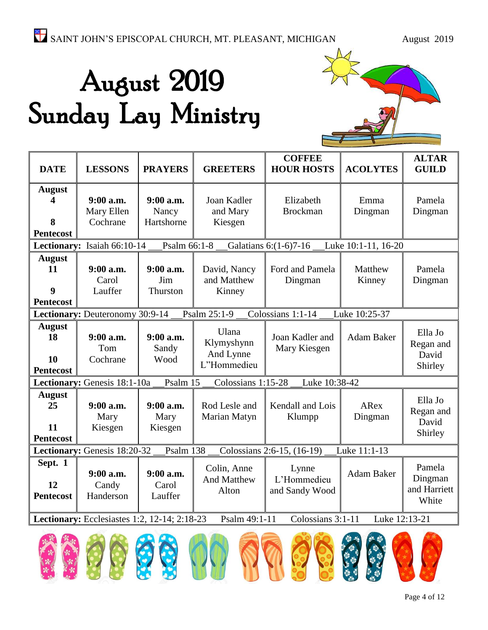# August 2019 Sunday Lay Ministry



| <b>DATE</b>                                                                                         | <b>LESSONS</b>                      | <b>PRAYERS</b>                   | <b>GREETERS</b>                                 | <b>COFFEE</b><br><b>HOUR HOSTS</b>     | <b>ACOLYTES</b>     | <b>ALTAR</b><br><b>GUILD</b>               |
|-----------------------------------------------------------------------------------------------------|-------------------------------------|----------------------------------|-------------------------------------------------|----------------------------------------|---------------------|--------------------------------------------|
| <b>August</b><br>4<br>8<br><b>Pentecost</b>                                                         | 9:00 a.m.<br>Mary Ellen<br>Cochrane | 9:00 a.m.<br>Nancy<br>Hartshorne | Joan Kadler<br>and Mary<br>Kiesgen              | Elizabeth<br><b>Brockman</b>           | Emma<br>Dingman     | Pamela<br>Dingman                          |
|                                                                                                     | Lectionary: Isaiah 66:10-14         | Psalm 66:1-8                     |                                                 | Galatians 6:(1-6)7-16                  | Luke 10:1-11, 16-20 |                                            |
| <b>August</b><br>11<br>9<br><b>Pentecost</b>                                                        | $9:00$ a.m.<br>Carol<br>Lauffer     | $9:00$ a.m.<br>Jim<br>Thurston   | David, Nancy<br>and Matthew<br>Kinney           | Ford and Pamela<br>Dingman             | Matthew<br>Kinney   | Pamela<br>Dingman                          |
|                                                                                                     | Lectionary: Deuteronomy 30:9-14     |                                  | Psalm 25:1-9                                    | Colossians 1:1-14                      | Luke 10:25-37       |                                            |
| <b>August</b><br>18<br><b>10</b><br><b>Pentecost</b>                                                | 9:00 a.m.<br>Tom<br>Cochrane        | $9:00$ a.m.<br>Sandy<br>Wood     | Ulana<br>Klymyshynn<br>And Lynne<br>L"Hommedieu | Joan Kadler and<br>Mary Kiesgen        | Adam Baker          | Ella Jo<br>Regan and<br>David<br>Shirley   |
|                                                                                                     | Lectionary: Genesis 18:1-10a        | Psalm 15                         | Colossians 1:15-28                              | Luke 10:38-42                          |                     |                                            |
| <b>August</b><br>25<br>11<br><b>Pentecost</b>                                                       | $9:00$ a.m.<br>Mary<br>Kiesgen      | $9:00$ a.m.<br>Mary<br>Kiesgen   | Rod Lesle and<br>Marian Matyn                   | Kendall and Lois<br>Klumpp             | ARex<br>Dingman     | Ella Jo<br>Regan and<br>David<br>Shirley   |
|                                                                                                     | Lectionary: Genesis 18:20-32        | Psalm 138                        |                                                 | Colossians 2:6-15, (16-19)             | Luke 11:1-13        |                                            |
| Sept. 1<br>12<br><b>Pentecost</b>                                                                   | $9:00$ a.m.<br>Candy<br>Handerson   | $9:00$ a.m.<br>Carol<br>Lauffer  | Colin, Anne<br><b>And Matthew</b><br>Alton      | Lynne<br>L'Hommedieu<br>and Sandy Wood | Adam Baker          | Pamela<br>Dingman<br>and Harriett<br>White |
| Lectionary: Ecclesiastes 1:2, 12-14; 2:18-23<br>Psalm 49:1-11<br>Colossians 3:1-11<br>Luke 12:13-21 |                                     |                                  |                                                 |                                        |                     |                                            |
|                                                                                                     |                                     |                                  |                                                 |                                        |                     |                                            |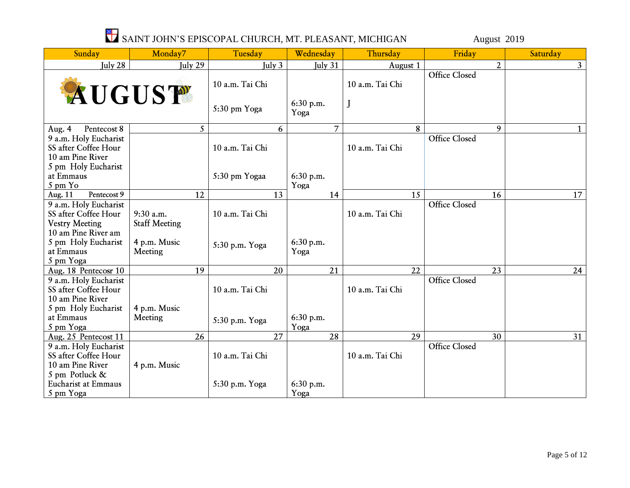# SAINT JOHN'S EPISCOPAL CHURCH, MT. PLEASANT, MICHIGAN August 2019

| Sunday                                                                              | Monday7                           | Tuesday         | Wednesday         | Thursday        | Friday               | Saturday       |
|-------------------------------------------------------------------------------------|-----------------------------------|-----------------|-------------------|-----------------|----------------------|----------------|
| July 28                                                                             | July 29                           | July 3          | July 31           | August 1        | $\overline{2}$       | 3 <sup>1</sup> |
| AUGUST                                                                              |                                   | 10 a.m. Tai Chi |                   | 10 a.m. Tai Chi | <b>Office Closed</b> |                |
|                                                                                     |                                   | 5:30 pm Yoga    | 6:30 p.m.<br>Yoga | J               |                      |                |
| Pentecost 8<br>Aug. $4$                                                             | 5                                 | 6               | $\overline{7}$    | 8               | 9                    | 1              |
| 9 a.m. Holy Eucharist<br>SS after Coffee Hour<br>10 am Pine River                   |                                   | 10 a.m. Tai Chi |                   | 10 a.m. Tai Chi | <b>Office Closed</b> |                |
| 5 pm Holy Eucharist<br>at Emmaus<br>5 pm Yo                                         |                                   | 5:30 pm Yogaa   | 6:30 p.m.<br>Yoga |                 |                      |                |
| Pentecost 9<br>Aug. 11                                                              | 12                                | 13              | 14                | 15              | 16                   | 17             |
| 9 a.m. Holy Eucharist<br>SS after Coffee Hour<br><b>Vestry Meeting</b>              | 9:30 a.m.<br><b>Staff Meeting</b> | 10 a.m. Tai Chi |                   | 10 a.m. Tai Chi | Office Closed        |                |
| 10 am Pine River am<br>5 pm Holy Eucharist<br>at Emmaus<br>5 pm Yoga                | 4 p.m. Music<br>Meeting           | 5:30 p.m. Yoga  | 6:30 p.m.<br>Yoga |                 |                      |                |
| Aug. 18 Pentecosr 10                                                                | $\overline{19}$                   | 20              | 21                | $\overline{22}$ | $\overline{23}$      | 24             |
| 9 a.m. Holy Eucharist<br>SS after Coffee Hour<br>10 am Pine River                   |                                   | 10 a.m. Tai Chi |                   | 10 a.m. Tai Chi | <b>Office Closed</b> |                |
| 5 pm Holy Eucharist<br>at Emmaus<br>5 pm Yoga                                       | 4 p.m. Music<br>Meeting           | 5:30 p.m. Yoga  | 6:30 p.m.<br>Yoga |                 |                      |                |
| Aug. 25 Pentecost 11                                                                | 26                                | 27              | 28                | 29              | 30                   | 31             |
| 9 a.m. Holy Eucharist<br>SS after Coffee Hour<br>10 am Pine River<br>5 pm Potluck & | 4 p.m. Music                      | 10 a.m. Tai Chi |                   | 10 a.m. Tai Chi | Office Closed        |                |
| Eucharist at Emmaus<br>5 pm Yoga                                                    |                                   | 5:30 p.m. Yoga  | 6:30 p.m.<br>Yoga |                 |                      |                |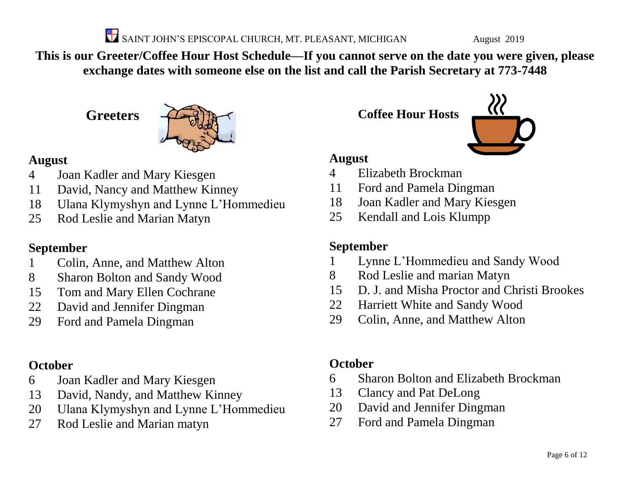SAINT JOHN'S EPISCOPAL CHURCH, MT. PLEASANT, MICHIGAN August 2019

**This is our Greeter/Coffee Hour Host Schedule—If you cannot serve on the date you were given, please exchange dates with someone else on the list and call the Parish Secretary at 773-7448**

**Greeters**



# **August**

- Joan Kadler and Mary Kiesgen
- David, Nancy and Matthew Kinney
- Ulana Klymyshyn and Lynne L'Hommedieu
- Rod Leslie and Marian Matyn

# **September**

- Colin, Anne, and Matthew Alton
- Sharon Bolton and Sandy Wood
- Tom and Mary Ellen Cochrane
- David and Jennifer Dingman
- Ford and Pamela Dingman

# **October**

- Joan Kadler and Mary Kiesgen
- David, Nandy, and Matthew Kinney
- Ulana Klymyshyn and Lynne L'Hommedieu
- Rod Leslie and Marian matyn

**Coffee Hour Hosts**



# **August**

- Elizabeth Brockman
- Ford and Pamela Dingman
- Joan Kadler and Mary Kiesgen
- Kendall and Lois Klumpp

# **September**

- Lynne L'Hommedieu and Sandy Wood
- Rod Leslie and marian Matyn
- D. J. and Misha Proctor and Christi Brookes
- Harriett White and Sandy Wood
- Colin, Anne, and Matthew Alton

# **October**

- Sharon Bolton and Elizabeth Brockman
- Clancy and Pat DeLong
- David and Jennifer Dingman
- Ford and Pamela Dingman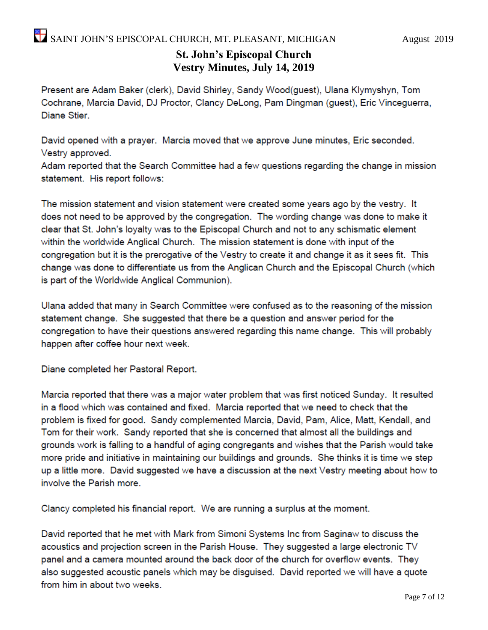## **St. John's Episcopal Church Vestry Minutes, July 14, 2019**

Present are Adam Baker (clerk), David Shirley, Sandy Wood(guest), Ulana Klymyshyn, Tom Cochrane, Marcia David, DJ Proctor, Clancy DeLong, Pam Dingman (guest), Eric Vinceguerra, Diane Stier.

David opened with a prayer. Marcia moved that we approve June minutes, Eric seconded. Vestry approved.

Adam reported that the Search Committee had a few questions regarding the change in mission statement. His report follows:

The mission statement and vision statement were created some years ago by the vestry. It does not need to be approved by the congregation. The wording change was done to make it clear that St. John's loyalty was to the Episcopal Church and not to any schismatic element within the worldwide Anglical Church. The mission statement is done with input of the congregation but it is the prerogative of the Vestry to create it and change it as it sees fit. This change was done to differentiate us from the Anglican Church and the Episcopal Church (which is part of the Worldwide Anglical Communion).

Ulana added that many in Search Committee were confused as to the reasoning of the mission statement change. She suggested that there be a question and answer period for the congregation to have their questions answered regarding this name change. This will probably happen after coffee hour next week.

Diane completed her Pastoral Report.

Marcia reported that there was a major water problem that was first noticed Sunday. It resulted in a flood which was contained and fixed. Marcia reported that we need to check that the problem is fixed for good. Sandy complemented Marcia, David, Pam, Alice, Matt, Kendall, and Tom for their work. Sandy reported that she is concerned that almost all the buildings and grounds work is falling to a handful of aging congregants and wishes that the Parish would take more pride and initiative in maintaining our buildings and grounds. She thinks it is time we step up a little more. David suggested we have a discussion at the next Vestry meeting about how to involve the Parish more.

Clancy completed his financial report. We are running a surplus at the moment.

David reported that he met with Mark from Simoni Systems Inc from Saginaw to discuss the acoustics and projection screen in the Parish House. They suggested a large electronic TV panel and a camera mounted around the back door of the church for overflow events. They also suggested acoustic panels which may be disguised. David reported we will have a quote from him in about two weeks.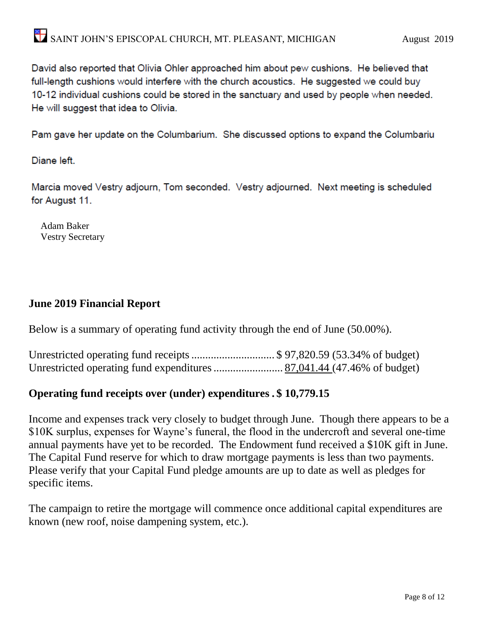David also reported that Olivia Ohler approached him about pew cushions. He believed that full-length cushions would interfere with the church acoustics. He suggested we could buy 10-12 individual cushions could be stored in the sanctuary and used by people when needed. He will suggest that idea to Olivia.

Pam gave her update on the Columbarium. She discussed options to expand the Columbariu

Diane left.

Marcia moved Vestry adjourn, Tom seconded. Vestry adjourned. Next meeting is scheduled for August 11.

 Adam Baker Vestry Secretary

### **June 2019 Financial Report**

Below is a summary of operating fund activity through the end of June (50.00%).

| Unrestricted operating fund receipts \$ 97,820.59 (53.34% of budget) |  |  |
|----------------------------------------------------------------------|--|--|
|                                                                      |  |  |

### **Operating fund receipts over (under) expenditures . \$ 10,779.15**

Income and expenses track very closely to budget through June. Though there appears to be a \$10K surplus, expenses for Wayne's funeral, the flood in the undercroft and several one-time annual payments have yet to be recorded. The Endowment fund received a \$10K gift in June. The Capital Fund reserve for which to draw mortgage payments is less than two payments. Please verify that your Capital Fund pledge amounts are up to date as well as pledges for specific items.

The campaign to retire the mortgage will commence once additional capital expenditures are known (new roof, noise dampening system, etc.).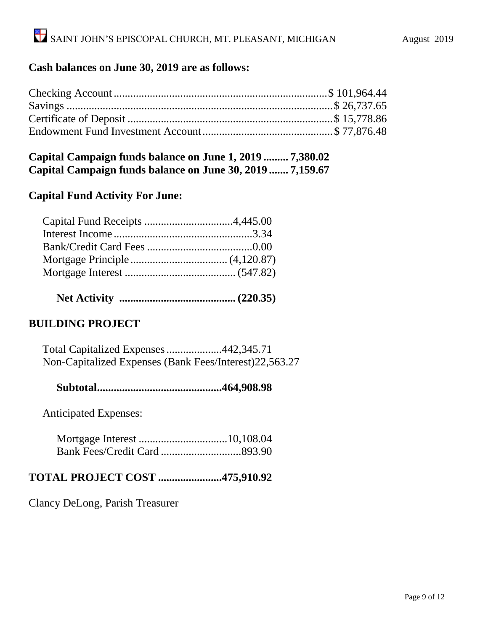## **Cash balances on June 30, 2019 are as follows:**

#### **Capital Campaign funds balance on June 1, 2019 ......... 7,380.02 Capital Campaign funds balance on June 30, 2019 ....... 7,159.67**

#### **Capital Fund Activity For June:**

 **Net Activity .......................................... (220.35)**

### **BUILDING PROJECT**

 Total Capitalized Expenses....................442,345.71 Non-Capitalized Expenses (Bank Fees/Interest)22,563.27

 **Subtotal.............................................464,908.98**

Anticipated Expenses:

#### **TOTAL PROJECT COST .......................475,910.92**

Clancy DeLong, Parish Treasurer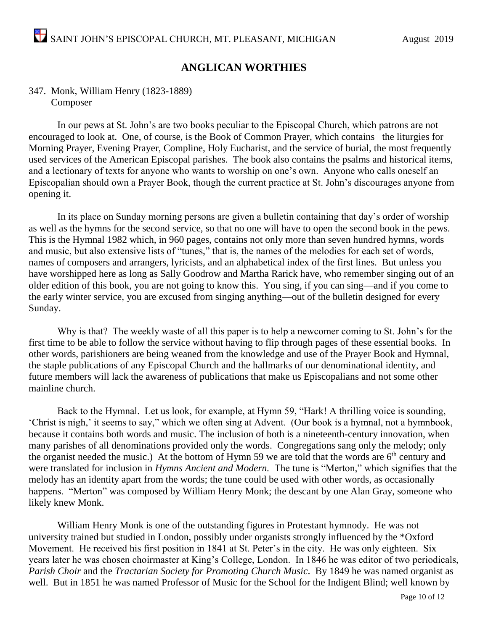### **ANGLICAN WORTHIES**

#### 347. Monk, William Henry (1823-1889) Composer

In our pews at St. John's are two books peculiar to the Episcopal Church, which patrons are not encouraged to look at. One, of course, is the Book of Common Prayer, which contains the liturgies for Morning Prayer, Evening Prayer, Compline, Holy Eucharist, and the service of burial, the most frequently used services of the American Episcopal parishes. The book also contains the psalms and historical items, and a lectionary of texts for anyone who wants to worship on one's own. Anyone who calls oneself an Episcopalian should own a Prayer Book, though the current practice at St. John's discourages anyone from opening it.

In its place on Sunday morning persons are given a bulletin containing that day's order of worship as well as the hymns for the second service, so that no one will have to open the second book in the pews. This is the Hymnal 1982 which, in 960 pages, contains not only more than seven hundred hymns, words and music, but also extensive lists of "tunes," that is, the names of the melodies for each set of words, names of composers and arrangers, lyricists, and an alphabetical index of the first lines. But unless you have worshipped here as long as Sally Goodrow and Martha Rarick have, who remember singing out of an older edition of this book, you are not going to know this. You sing, if you can sing—and if you come to the early winter service, you are excused from singing anything—out of the bulletin designed for every Sunday.

Why is that? The weekly waste of all this paper is to help a newcomer coming to St. John's for the first time to be able to follow the service without having to flip through pages of these essential books. In other words, parishioners are being weaned from the knowledge and use of the Prayer Book and Hymnal, the staple publications of any Episcopal Church and the hallmarks of our denominational identity, and future members will lack the awareness of publications that make us Episcopalians and not some other mainline church.

Back to the Hymnal. Let us look, for example, at Hymn 59, "Hark! A thrilling voice is sounding, 'Christ is nigh,' it seems to say," which we often sing at Advent. (Our book is a hymnal, not a hymnbook, because it contains both words and music. The inclusion of both is a nineteenth-century innovation, when many parishes of all denominations provided only the words. Congregations sang only the melody; only the organist needed the music.) At the bottom of Hymn 59 we are told that the words are  $6<sup>th</sup>$  century and were translated for inclusion in *Hymns Ancient and Modern.* The tune is "Merton," which signifies that the melody has an identity apart from the words; the tune could be used with other words, as occasionally happens. "Merton" was composed by William Henry Monk; the descant by one Alan Gray, someone who likely knew Monk.

William Henry Monk is one of the outstanding figures in Protestant hymnody. He was not university trained but studied in London, possibly under organists strongly influenced by the \*Oxford Movement. He received his first position in 1841 at St. Peter's in the city. He was only eighteen. Six years later he was chosen choirmaster at King's College, London. In 1846 he was editor of two periodicals, *Parish Choir* and the *Tractarian Society for Promoting Church Music*. By 1849 he was named organist as well. But in 1851 he was named Professor of Music for the School for the Indigent Blind; well known by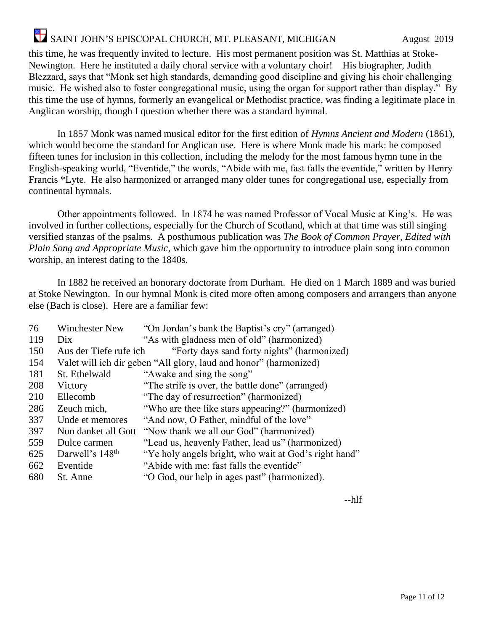# SAINT JOHN'S EPISCOPAL CHURCH, MT. PLEASANT, MICHIGAN August 2019

this time, he was frequently invited to lecture. His most permanent position was St. Matthias at Stoke-Newington. Here he instituted a daily choral service with a voluntary choir! His biographer, Judith Blezzard, says that "Monk set high standards, demanding good discipline and giving his choir challenging music. He wished also to foster congregational music, using the organ for support rather than display." By this time the use of hymns, formerly an evangelical or Methodist practice, was finding a legitimate place in Anglican worship, though I question whether there was a standard hymnal.

In 1857 Monk was named musical editor for the first edition of *Hymns Ancient and Modern* (1861), which would become the standard for Anglican use. Here is where Monk made his mark: he composed fifteen tunes for inclusion in this collection, including the melody for the most famous hymn tune in the English-speaking world, "Eventide," the words, "Abide with me, fast falls the eventide," written by Henry Francis \*Lyte. He also harmonized or arranged many older tunes for congregational use, especially from continental hymnals.

Other appointments followed. In 1874 he was named Professor of Vocal Music at King's. He was involved in further collections, especially for the Church of Scotland, which at that time was still singing versified stanzas of the psalms. A posthumous publication was *The Book of Common Prayer, Edited with Plain Song and Appropriate Music*, which gave him the opportunity to introduce plain song into common worship, an interest dating to the 1840s.

In 1882 he received an honorary doctorate from Durham. He died on 1 March 1889 and was buried at Stoke Newington. In our hymnal Monk is cited more often among composers and arrangers than anyone else (Bach is close). Here are a familiar few:

| 76  | <b>Winchester New</b>       | "On Jordan's bank the Baptist's cry" (arranged)                   |
|-----|-----------------------------|-------------------------------------------------------------------|
| 119 | Dix                         | "As with gladness men of old" (harmonized)                        |
| 150 | Aus der Tiefe rufe ich      | "Forty days sand forty nights" (harmonized)                       |
| 154 |                             | Valet will ich dir geben "All glory, laud and honor" (harmonized) |
| 181 | St. Ethelwald               | "Awake and sing the song"                                         |
| 208 | Victory                     | "The strife is over, the battle done" (arranged)                  |
| 210 | Ellecomb                    | "The day of resurrection" (harmonized)                            |
| 286 | Zeuch mich,                 | "Who are thee like stars appearing?" (harmonized)                 |
| 337 | Unde et memores             | "And now, O Father, mindful of the love"                          |
| 397 | Nun danket all Gott         | "Now thank we all our God" (harmonized)                           |
| 559 | Dulce carmen                | "Lead us, heavenly Father, lead us" (harmonized)                  |
| 625 | Darwell's 148 <sup>th</sup> | "Ye holy angels bright, who wait at God's right hand"             |
| 662 | Eventide                    | "Abide with me: fast falls the eventide"                          |
| 680 | St. Anne                    | "O God, our help in ages past" (harmonized).                      |

--hlf